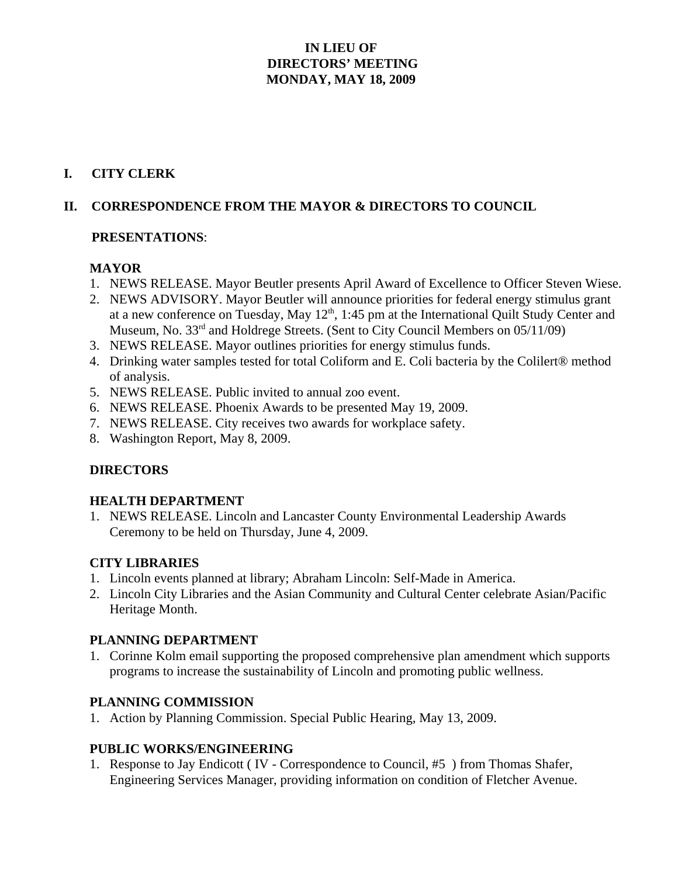## **IN LIEU OF DIRECTORS' MEETING MONDAY, MAY 18, 2009**

### **I. CITY CLERK**

## **II. CORRESPONDENCE FROM THE MAYOR & DIRECTORS TO COUNCIL**

#### **PRESENTATIONS**:

### **MAYOR**

- 1. NEWS RELEASE. Mayor Beutler presents April Award of Excellence to Officer Steven Wiese.
- 2. NEWS ADVISORY. Mayor Beutler will announce priorities for federal energy stimulus grant at a new conference on Tuesday, May 12<sup>th</sup>, 1:45 pm at the International Quilt Study Center and Museum, No. 33<sup>rd</sup> and Holdrege Streets. (Sent to City Council Members on 05/11/09)
- 3. NEWS RELEASE. Mayor outlines priorities for energy stimulus funds.
- 4. Drinking water samples tested for total Coliform and E. Coli bacteria by the Colilert® method of analysis.
- 5. NEWS RELEASE. Public invited to annual zoo event.
- 6. NEWS RELEASE. Phoenix Awards to be presented May 19, 2009.
- 7. NEWS RELEASE. City receives two awards for workplace safety.
- 8. Washington Report, May 8, 2009.

### **DIRECTORS**

### **HEALTH DEPARTMENT**

1. NEWS RELEASE. Lincoln and Lancaster County Environmental Leadership Awards Ceremony to be held on Thursday, June 4, 2009.

### **CITY LIBRARIES**

- 1. Lincoln events planned at library; Abraham Lincoln: Self-Made in America.
- 2. Lincoln City Libraries and the Asian Community and Cultural Center celebrate Asian/Pacific Heritage Month.

### **PLANNING DEPARTMENT**

1. Corinne Kolm email supporting the proposed comprehensive plan amendment which supports programs to increase the sustainability of Lincoln and promoting public wellness.

### **PLANNING COMMISSION**

1. Action by Planning Commission. Special Public Hearing, May 13, 2009.

### **PUBLIC WORKS/ENGINEERING**

1. Response to Jay Endicott ( IV - Correspondence to Council, #5 ) from Thomas Shafer, Engineering Services Manager, providing information on condition of Fletcher Avenue.